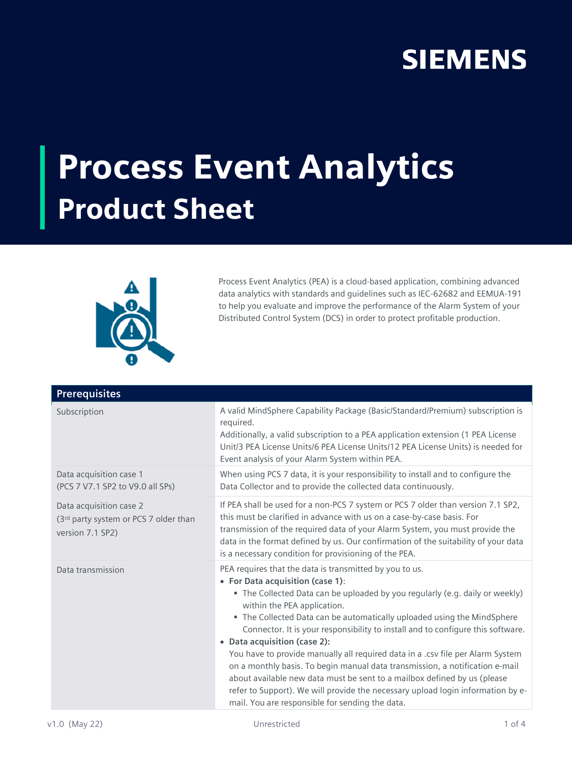## **SIEMENS**

## Process Event Analytics Product Sheet



Process Event Analytics (PEA) is a cloud-based application, combining advanced data analytics with standards and guidelines such as IEC-62682 and EEMUA-191 to help you evaluate and improve the performance of the Alarm System of your Distributed Control System (DCS) in order to protect profitable production.

| <b>Prerequisites</b>                                                                 |                                                                                                                                                                                                                                                                                                                                                                                                                                                                                                                                                                                                                                                                                                                                                                                              |
|--------------------------------------------------------------------------------------|----------------------------------------------------------------------------------------------------------------------------------------------------------------------------------------------------------------------------------------------------------------------------------------------------------------------------------------------------------------------------------------------------------------------------------------------------------------------------------------------------------------------------------------------------------------------------------------------------------------------------------------------------------------------------------------------------------------------------------------------------------------------------------------------|
| Subscription                                                                         | A valid MindSphere Capability Package (Basic/Standard/Premium) subscription is<br>required.<br>Additionally, a valid subscription to a PEA application extension (1 PEA License<br>Unit/3 PEA License Units/6 PEA License Units/12 PEA License Units) is needed for<br>Event analysis of your Alarm System within PEA.                                                                                                                                                                                                                                                                                                                                                                                                                                                                       |
| Data acquisition case 1<br>(PCS 7 V7.1 SP2 to V9.0 all SPs)                          | When using PCS 7 data, it is your responsibility to install and to configure the<br>Data Collector and to provide the collected data continuously.                                                                                                                                                                                                                                                                                                                                                                                                                                                                                                                                                                                                                                           |
| Data acquisition case 2<br>(3rd party system or PCS 7 older than<br>version 7.1 SP2) | If PEA shall be used for a non-PCS 7 system or PCS 7 older than version 7.1 SP2,<br>this must be clarified in advance with us on a case-by-case basis. For<br>transmission of the required data of your Alarm System, you must provide the<br>data in the format defined by us. Our confirmation of the suitability of your data<br>is a necessary condition for provisioning of the PEA.                                                                                                                                                                                                                                                                                                                                                                                                    |
| Data transmission                                                                    | PEA requires that the data is transmitted by you to us.<br>• For Data acquisition (case 1):<br>• The Collected Data can be uploaded by you regularly (e.g. daily or weekly)<br>within the PEA application.<br>• The Collected Data can be automatically uploaded using the MindSphere<br>Connector. It is your responsibility to install and to configure this software.<br>• Data acquisition (case 2):<br>You have to provide manually all required data in a .csv file per Alarm System<br>on a monthly basis. To begin manual data transmission, a notification e-mail<br>about available new data must be sent to a mailbox defined by us (please<br>refer to Support). We will provide the necessary upload login information by e-<br>mail. You are responsible for sending the data. |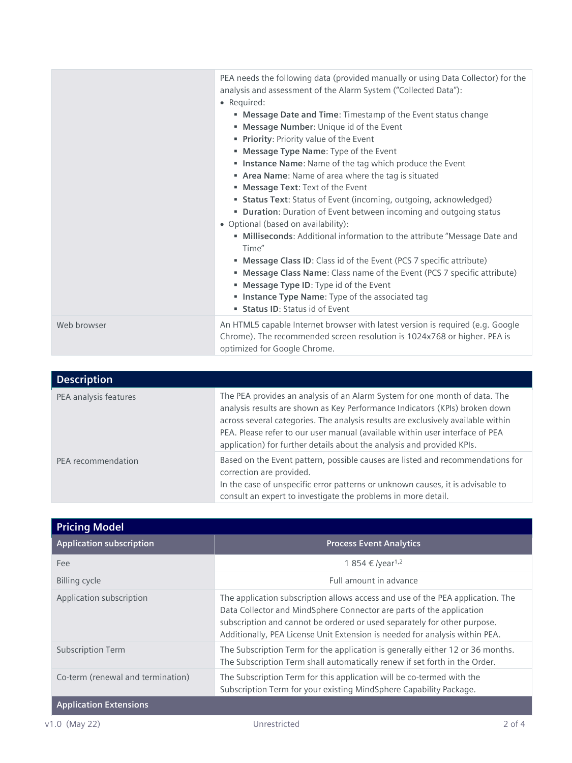|             | PEA needs the following data (provided manually or using Data Collector) for the<br>analysis and assessment of the Alarm System ("Collected Data"):<br>• Required:<br>" Message Date and Time: Timestamp of the Event status change<br>" Message Number: Unique id of the Event<br>Priority: Priority value of the Event<br>" Message Type Name: Type of the Event<br>Instance Name: Name of the tag which produce the Event<br>" Area Name: Name of area where the tag is situated<br>" Message Text: Text of the Event<br><b>Status Text:</b> Status of Event (incoming, outgoing, acknowledged)<br>• Duration: Duration of Event between incoming and outgoing status<br>• Optional (based on availability):<br>• Milliseconds: Additional information to the attribute "Message Date and<br>Time"<br>" Message Class ID: Class id of the Event (PCS 7 specific attribute)<br>" Message Class Name: Class name of the Event (PCS 7 specific attribute)<br>" Message Type ID: Type id of the Event<br>Instance Type Name: Type of the associated tag<br><b>Status ID:</b> Status id of Event |
|-------------|------------------------------------------------------------------------------------------------------------------------------------------------------------------------------------------------------------------------------------------------------------------------------------------------------------------------------------------------------------------------------------------------------------------------------------------------------------------------------------------------------------------------------------------------------------------------------------------------------------------------------------------------------------------------------------------------------------------------------------------------------------------------------------------------------------------------------------------------------------------------------------------------------------------------------------------------------------------------------------------------------------------------------------------------------------------------------------------------|
| Web browser | An HTML5 capable Internet browser with latest version is required (e.g. Google<br>Chrome). The recommended screen resolution is 1024x768 or higher. PEA is<br>optimized for Google Chrome.                                                                                                                                                                                                                                                                                                                                                                                                                                                                                                                                                                                                                                                                                                                                                                                                                                                                                                     |

| <b>Description</b>    |                                                                                                                                                                                                                                                                                                                                                                                                         |
|-----------------------|---------------------------------------------------------------------------------------------------------------------------------------------------------------------------------------------------------------------------------------------------------------------------------------------------------------------------------------------------------------------------------------------------------|
| PEA analysis features | The PEA provides an analysis of an Alarm System for one month of data. The<br>analysis results are shown as Key Performance Indicators (KPIs) broken down<br>across several categories. The analysis results are exclusively available within<br>PEA. Please refer to our user manual (available within user interface of PEA<br>application) for further details about the analysis and provided KPIs. |
| PEA recommendation    | Based on the Event pattern, possible causes are listed and recommendations for<br>correction are provided.<br>In the case of unspecific error patterns or unknown causes, it is advisable to<br>consult an expert to investigate the problems in more detail.                                                                                                                                           |

| <b>Pricing Model</b>              |                                                                                                                                                                                                                                                                                                                   |
|-----------------------------------|-------------------------------------------------------------------------------------------------------------------------------------------------------------------------------------------------------------------------------------------------------------------------------------------------------------------|
| <b>Application subscription</b>   | <b>Process Event Analytics</b>                                                                                                                                                                                                                                                                                    |
| Fee                               | 1 854 € /year <sup>1,2</sup>                                                                                                                                                                                                                                                                                      |
| Billing cycle                     | Full amount in advance                                                                                                                                                                                                                                                                                            |
| Application subscription          | The application subscription allows access and use of the PEA application. The<br>Data Collector and MindSphere Connector are parts of the application<br>subscription and cannot be ordered or used separately for other purpose.<br>Additionally, PEA License Unit Extension is needed for analysis within PEA. |
| <b>Subscription Term</b>          | The Subscription Term for the application is generally either 12 or 36 months.<br>The Subscription Term shall automatically renew if set forth in the Order.                                                                                                                                                      |
| Co-term (renewal and termination) | The Subscription Term for this application will be co-termed with the<br>Subscription Term for your existing MindSphere Capability Package.                                                                                                                                                                       |
| <b>Application Extensions</b>     |                                                                                                                                                                                                                                                                                                                   |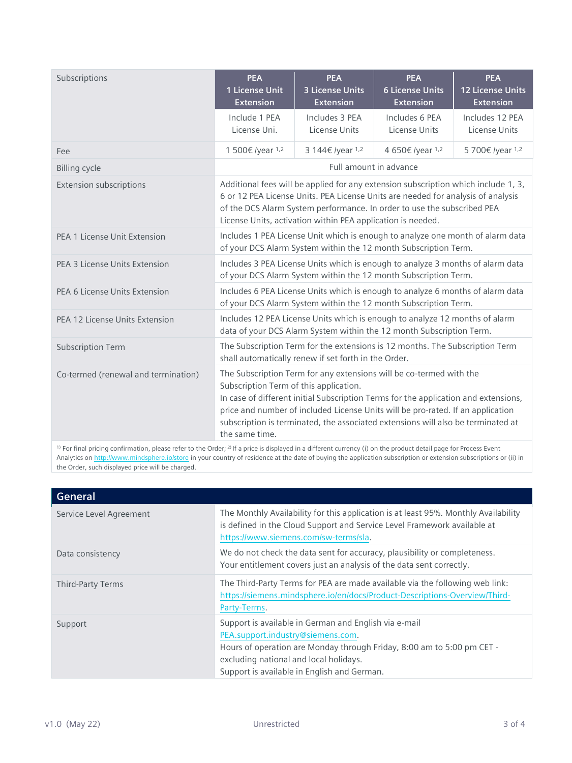| Subscriptions                       | <b>PEA</b><br>1 License Unit<br><b>Extension</b>                                                                                                                                                                                                                                                                                                                                              | <b>PEA</b><br><b>3 License Units</b><br><b>Extension</b>                                                                                            | <b>PEA</b><br><b>6 License Units</b><br><b>Extension</b> | <b>PEA</b><br><b>12 License Units</b><br><b>Extension</b> |
|-------------------------------------|-----------------------------------------------------------------------------------------------------------------------------------------------------------------------------------------------------------------------------------------------------------------------------------------------------------------------------------------------------------------------------------------------|-----------------------------------------------------------------------------------------------------------------------------------------------------|----------------------------------------------------------|-----------------------------------------------------------|
|                                     | Include 1 PEA<br>License Uni.                                                                                                                                                                                                                                                                                                                                                                 | Includes 3 PEA<br>License Units                                                                                                                     | Includes 6 PEA<br>License Units                          | Includes 12 PEA<br>License Units                          |
| Fee                                 | 1 500€ /year 1,2                                                                                                                                                                                                                                                                                                                                                                              | 3 144€ /year 1,2                                                                                                                                    | 4 650€ /year 1,2                                         | 5700€/year 1,2                                            |
| <b>Billing cycle</b>                |                                                                                                                                                                                                                                                                                                                                                                                               | Full amount in advance                                                                                                                              |                                                          |                                                           |
| <b>Extension subscriptions</b>      | Additional fees will be applied for any extension subscription which include 1, 3,<br>6 or 12 PEA License Units. PEA License Units are needed for analysis of analysis<br>of the DCS Alarm System performance. In order to use the subscribed PEA<br>License Units, activation within PEA application is needed.                                                                              |                                                                                                                                                     |                                                          |                                                           |
| PEA 1 License Unit Extension        | Includes 1 PEA License Unit which is enough to analyze one month of alarm data<br>of your DCS Alarm System within the 12 month Subscription Term.                                                                                                                                                                                                                                             |                                                                                                                                                     |                                                          |                                                           |
| PEA 3 License Units Extension       |                                                                                                                                                                                                                                                                                                                                                                                               | Includes 3 PEA License Units which is enough to analyze 3 months of alarm data<br>of your DCS Alarm System within the 12 month Subscription Term.   |                                                          |                                                           |
| PEA 6 License Units Extension       | Includes 6 PEA License Units which is enough to analyze 6 months of alarm data<br>of your DCS Alarm System within the 12 month Subscription Term.                                                                                                                                                                                                                                             |                                                                                                                                                     |                                                          |                                                           |
| PEA 12 License Units Extension      |                                                                                                                                                                                                                                                                                                                                                                                               | Includes 12 PEA License Units which is enough to analyze 12 months of alarm<br>data of your DCS Alarm System within the 12 month Subscription Term. |                                                          |                                                           |
| <b>Subscription Term</b>            |                                                                                                                                                                                                                                                                                                                                                                                               | The Subscription Term for the extensions is 12 months. The Subscription Term<br>shall automatically renew if set forth in the Order.                |                                                          |                                                           |
| Co-termed (renewal and termination) | The Subscription Term for any extensions will be co-termed with the<br>Subscription Term of this application.<br>In case of different initial Subscription Terms for the application and extensions,<br>price and number of included License Units will be pro-rated. If an application<br>subscription is terminated, the associated extensions will also be terminated at<br>the same time. |                                                                                                                                                     |                                                          |                                                           |

<sup>1)</sup> For final pricing confirmation, please refer to the Order;<sup>2)</sup> If a price is displayed in a different currency (i) on the product detail page for Process Event Analytics on <http://www.mindsphere.io/store> in your country of residence at the date of buying the application subscription or extension subscriptions or (ii) in the Order, such displayed price will be charged.

| General                 |                                                                                                                                                                                                                                                               |
|-------------------------|---------------------------------------------------------------------------------------------------------------------------------------------------------------------------------------------------------------------------------------------------------------|
| Service Level Agreement | The Monthly Availability for this application is at least 95%. Monthly Availability<br>is defined in the Cloud Support and Service Level Framework available at<br>https://www.siemens.com/sw-terms/sla.                                                      |
| Data consistency        | We do not check the data sent for accuracy, plausibility or completeness.<br>Your entitlement covers just an analysis of the data sent correctly.                                                                                                             |
| Third-Party Terms       | The Third-Party Terms for PEA are made available via the following web link:<br>https://siemens.mindsphere.io/en/docs/Product-Descriptions-Overview/Third-<br>Party-Terms.                                                                                    |
| Support                 | Support is available in German and English via e-mail<br>PEA.support.industry@siemens.com.<br>Hours of operation are Monday through Friday, 8:00 am to 5:00 pm CET -<br>excluding national and local holidays.<br>Support is available in English and German. |